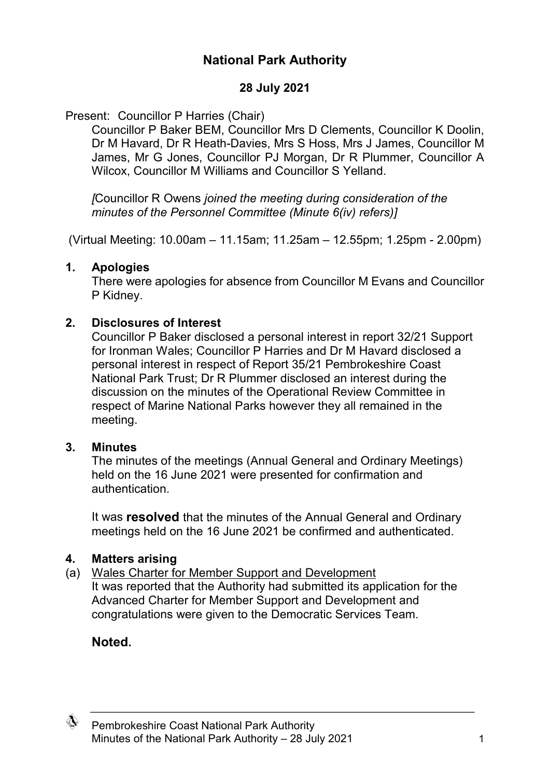## **National Park Authority**

### **28 July 2021**

### Present: Councillor P Harries (Chair)

Councillor P Baker BEM, Councillor Mrs D Clements, Councillor K Doolin, Dr M Havard, Dr R Heath-Davies, Mrs S Hoss, Mrs J James, Councillor M James, Mr G Jones, Councillor PJ Morgan, Dr R Plummer, Councillor A Wilcox, Councillor M Williams and Councillor S Yelland.

*[*Councillor R Owens *joined the meeting during consideration of the minutes of the Personnel Committee (Minute 6(iv) refers)]*

(Virtual Meeting: 10.00am – 11.15am; 11.25am – 12.55pm; 1.25pm - 2.00pm)

### **1. Apologies**

There were apologies for absence from Councillor M Evans and Councillor P Kidney.

### **2. Disclosures of Interest**

Councillor P Baker disclosed a personal interest in report 32/21 Support for Ironman Wales; Councillor P Harries and Dr M Havard disclosed a personal interest in respect of Report 35/21 Pembrokeshire Coast National Park Trust; Dr R Plummer disclosed an interest during the discussion on the minutes of the Operational Review Committee in respect of Marine National Parks however they all remained in the meeting.

### **3. Minutes**

The minutes of the meetings (Annual General and Ordinary Meetings) held on the 16 June 2021 were presented for confirmation and authentication.

It was **resolved** that the minutes of the Annual General and Ordinary meetings held on the 16 June 2021 be confirmed and authenticated.

 $\_$  , and the set of the set of the set of the set of the set of the set of the set of the set of the set of the set of the set of the set of the set of the set of the set of the set of the set of the set of the set of th

## **4. Matters arising**

(a) Wales Charter for Member Support and Development It was reported that the Authority had submitted its application for the Advanced Charter for Member Support and Development and congratulations were given to the Democratic Services Team.

# **Noted.**

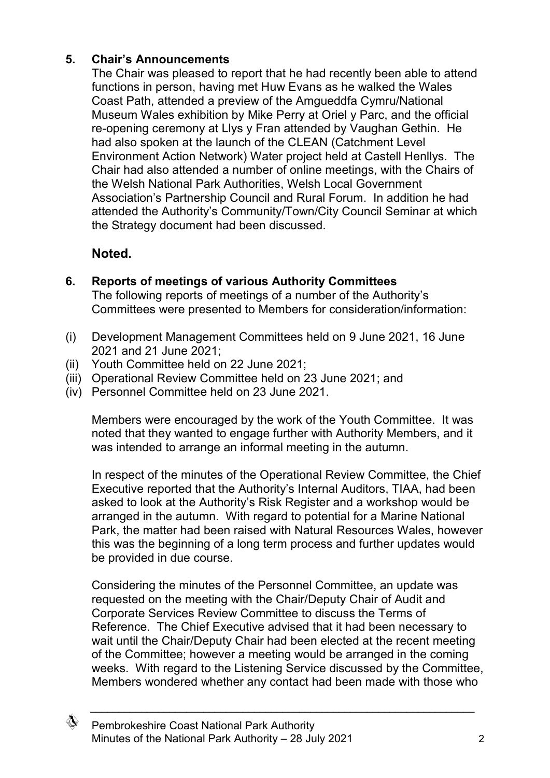### **5. Chair's Announcements**

The Chair was pleased to report that he had recently been able to attend functions in person, having met Huw Evans as he walked the Wales Coast Path, attended a preview of the Amgueddfa Cymru/National Museum Wales exhibition by Mike Perry at Oriel y Parc, and the official re-opening ceremony at Llys y Fran attended by Vaughan Gethin. He had also spoken at the launch of the CLEAN (Catchment Level Environment Action Network) Water project held at Castell Henllys. The Chair had also attended a number of online meetings, with the Chairs of the Welsh National Park Authorities, Welsh Local Government Association's Partnership Council and Rural Forum. In addition he had attended the Authority's Community/Town/City Council Seminar at which the Strategy document had been discussed.

# **Noted.**

**6. Reports of meetings of various Authority Committees**

The following reports of meetings of a number of the Authority's Committees were presented to Members for consideration/information:

- (i) Development Management Committees held on 9 June 2021, 16 June 2021 and 21 June 2021;
- (ii) Youth Committee held on 22 June 2021;
- (iii) Operational Review Committee held on 23 June 2021; and
- (iv) Personnel Committee held on 23 June 2021.

Members were encouraged by the work of the Youth Committee. It was noted that they wanted to engage further with Authority Members, and it was intended to arrange an informal meeting in the autumn.

In respect of the minutes of the Operational Review Committee, the Chief Executive reported that the Authority's Internal Auditors, TIAA, had been asked to look at the Authority's Risk Register and a workshop would be arranged in the autumn. With regard to potential for a Marine National Park, the matter had been raised with Natural Resources Wales, however this was the beginning of a long term process and further updates would be provided in due course.

Considering the minutes of the Personnel Committee, an update was requested on the meeting with the Chair/Deputy Chair of Audit and Corporate Services Review Committee to discuss the Terms of Reference. The Chief Executive advised that it had been necessary to wait until the Chair/Deputy Chair had been elected at the recent meeting of the Committee; however a meeting would be arranged in the coming weeks. With regard to the Listening Service discussed by the Committee, Members wondered whether any contact had been made with those who

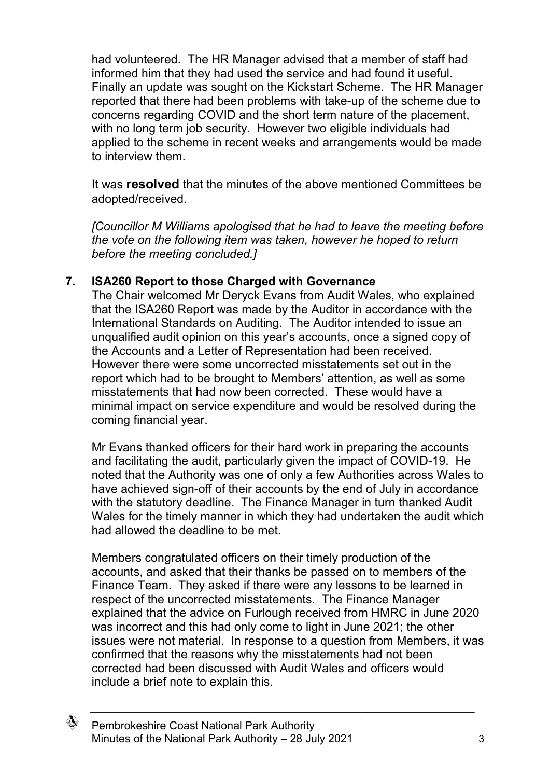had volunteered. The HR Manager advised that a member of staff had informed him that they had used the service and had found it useful. Finally an update was sought on the Kickstart Scheme. The HR Manager reported that there had been problems with take-up of the scheme due to concerns regarding COVID and the short term nature of the placement, with no long term job security. However two eligible individuals had applied to the scheme in recent weeks and arrangements would be made to interview them.

It was **resolved** that the minutes of the above mentioned Committees be adopted/received.

*[Councillor M Williams apologised that he had to leave the meeting before the vote on the following item was taken, however he hoped to return before the meeting concluded.]*

#### **7. ISA260 Report to those Charged with Governance**

The Chair welcomed Mr Deryck Evans from Audit Wales, who explained that the ISA260 Report was made by the Auditor in accordance with the International Standards on Auditing. The Auditor intended to issue an unqualified audit opinion on this year's accounts, once a signed copy of the Accounts and a Letter of Representation had been received. However there were some uncorrected misstatements set out in the report which had to be brought to Members' attention, as well as some misstatements that had now been corrected. These would have a minimal impact on service expenditure and would be resolved during the coming financial year.

Mr Evans thanked officers for their hard work in preparing the accounts and facilitating the audit, particularly given the impact of COVID-19. He noted that the Authority was one of only a few Authorities across Wales to have achieved sign-off of their accounts by the end of July in accordance with the statutory deadline. The Finance Manager in turn thanked Audit Wales for the timely manner in which they had undertaken the audit which had allowed the deadline to be met.

Members congratulated officers on their timely production of the accounts, and asked that their thanks be passed on to members of the Finance Team. They asked if there were any lessons to be learned in respect of the uncorrected misstatements. The Finance Manager explained that the advice on Furlough received from HMRC in June 2020 was incorrect and this had only come to light in June 2021; the other issues were not material. In response to a question from Members, it was confirmed that the reasons why the misstatements had not been corrected had been discussed with Audit Wales and officers would include a brief note to explain this.

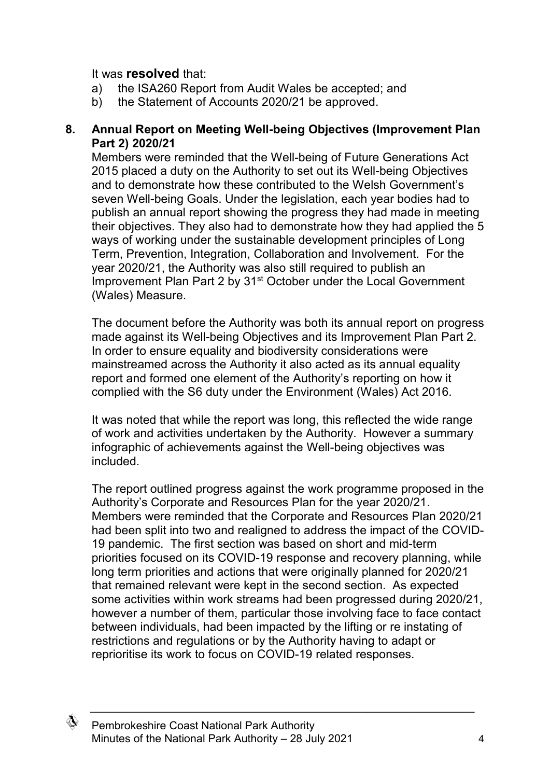#### It was **resolved** that:

- a) the ISA260 Report from Audit Wales be accepted; and
- b) the Statement of Accounts 2020/21 be approved.

#### **8. Annual Report on Meeting Well-being Objectives (Improvement Plan Part 2) 2020/21**

Members were reminded that the Well-being of Future Generations Act 2015 placed a duty on the Authority to set out its Well-being Objectives and to demonstrate how these contributed to the Welsh Government's seven Well-being Goals. Under the legislation, each year bodies had to publish an annual report showing the progress they had made in meeting their objectives. They also had to demonstrate how they had applied the 5 ways of working under the sustainable development principles of Long Term, Prevention, Integration, Collaboration and Involvement. For the year 2020/21, the Authority was also still required to publish an Improvement Plan Part 2 by 31<sup>st</sup> October under the Local Government (Wales) Measure.

The document before the Authority was both its annual report on progress made against its Well-being Objectives and its Improvement Plan Part 2. In order to ensure equality and biodiversity considerations were mainstreamed across the Authority it also acted as its annual equality report and formed one element of the Authority's reporting on how it complied with the S6 duty under the Environment (Wales) Act 2016.

It was noted that while the report was long, this reflected the wide range of work and activities undertaken by the Authority. However a summary infographic of achievements against the Well-being objectives was included.

The report outlined progress against the work programme proposed in the Authority's Corporate and Resources Plan for the year 2020/21. Members were reminded that the Corporate and Resources Plan 2020/21 had been split into two and realigned to address the impact of the COVID-19 pandemic. The first section was based on short and mid-term priorities focused on its COVID-19 response and recovery planning, while long term priorities and actions that were originally planned for 2020/21 that remained relevant were kept in the second section. As expected some activities within work streams had been progressed during 2020/21, however a number of them, particular those involving face to face contact between individuals, had been impacted by the lifting or re instating of restrictions and regulations or by the Authority having to adapt or reprioritise its work to focus on COVID-19 related responses.

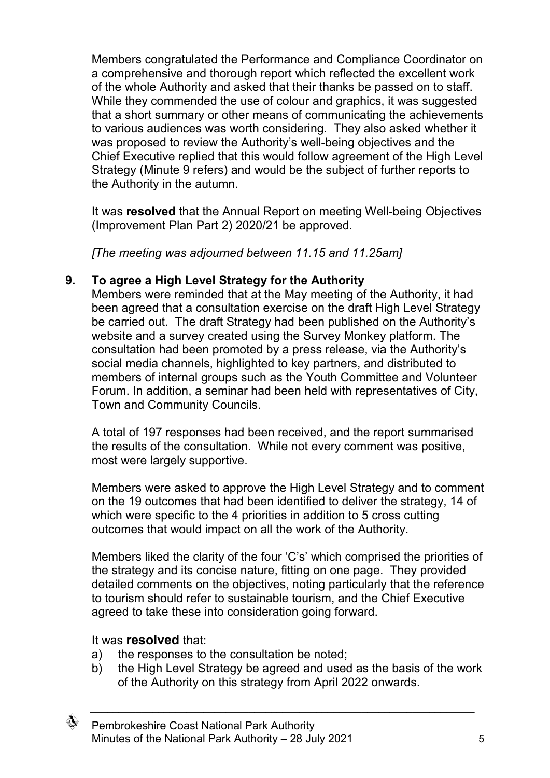Members congratulated the Performance and Compliance Coordinator on a comprehensive and thorough report which reflected the excellent work of the whole Authority and asked that their thanks be passed on to staff. While they commended the use of colour and graphics, it was suggested that a short summary or other means of communicating the achievements to various audiences was worth considering. They also asked whether it was proposed to review the Authority's well-being objectives and the Chief Executive replied that this would follow agreement of the High Level Strategy (Minute 9 refers) and would be the subject of further reports to the Authority in the autumn.

It was **resolved** that the Annual Report on meeting Well-being Objectives (Improvement Plan Part 2) 2020/21 be approved.

*[The meeting was adjourned between 11.15 and 11.25am]*

### **9. To agree a High Level Strategy for the Authority**

Members were reminded that at the May meeting of the Authority, it had been agreed that a consultation exercise on the draft High Level Strategy be carried out. The draft Strategy had been published on the Authority's website and a survey created using the Survey Monkey platform. The consultation had been promoted by a press release, via the Authority's social media channels, highlighted to key partners, and distributed to members of internal groups such as the Youth Committee and Volunteer Forum. In addition, a seminar had been held with representatives of City, Town and Community Councils.

A total of 197 responses had been received, and the report summarised the results of the consultation. While not every comment was positive, most were largely supportive.

Members were asked to approve the High Level Strategy and to comment on the 19 outcomes that had been identified to deliver the strategy, 14 of which were specific to the 4 priorities in addition to 5 cross cutting outcomes that would impact on all the work of the Authority.

Members liked the clarity of the four 'C's' which comprised the priorities of the strategy and its concise nature, fitting on one page. They provided detailed comments on the objectives, noting particularly that the reference to tourism should refer to sustainable tourism, and the Chief Executive agreed to take these into consideration going forward.

### It was **resolved** that:

- a) the responses to the consultation be noted;
- b) the High Level Strategy be agreed and used as the basis of the work of the Authority on this strategy from April 2022 onwards.

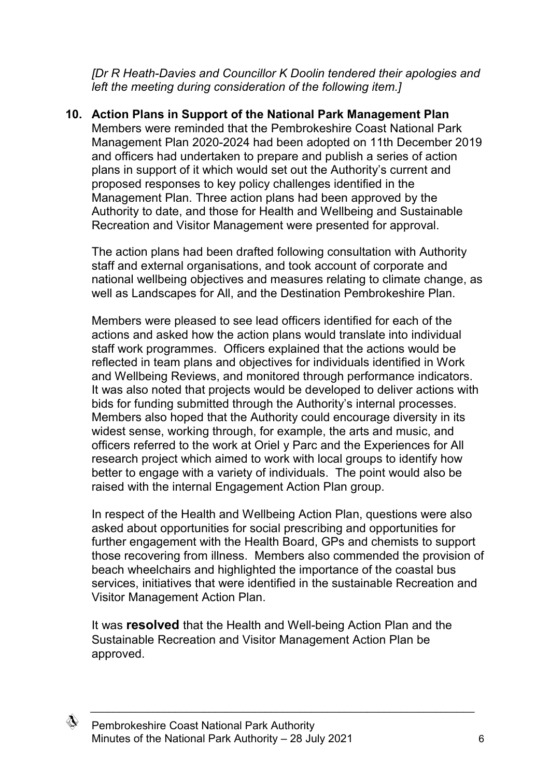*[Dr R Heath-Davies and Councillor K Doolin tendered their apologies and left the meeting during consideration of the following item.]*

#### **10. Action Plans in Support of the National Park Management Plan**

Members were reminded that the Pembrokeshire Coast National Park Management Plan 2020-2024 had been adopted on 11th December 2019 and officers had undertaken to prepare and publish a series of action plans in support of it which would set out the Authority's current and proposed responses to key policy challenges identified in the Management Plan. Three action plans had been approved by the Authority to date, and those for Health and Wellbeing and Sustainable Recreation and Visitor Management were presented for approval.

The action plans had been drafted following consultation with Authority staff and external organisations, and took account of corporate and national wellbeing objectives and measures relating to climate change, as well as Landscapes for All, and the Destination Pembrokeshire Plan.

Members were pleased to see lead officers identified for each of the actions and asked how the action plans would translate into individual staff work programmes. Officers explained that the actions would be reflected in team plans and objectives for individuals identified in Work and Wellbeing Reviews, and monitored through performance indicators. It was also noted that projects would be developed to deliver actions with bids for funding submitted through the Authority's internal processes. Members also hoped that the Authority could encourage diversity in its widest sense, working through, for example, the arts and music, and officers referred to the work at Oriel y Parc and the Experiences for All research project which aimed to work with local groups to identify how better to engage with a variety of individuals. The point would also be raised with the internal Engagement Action Plan group.

In respect of the Health and Wellbeing Action Plan, questions were also asked about opportunities for social prescribing and opportunities for further engagement with the Health Board, GPs and chemists to support those recovering from illness. Members also commended the provision of beach wheelchairs and highlighted the importance of the coastal bus services, initiatives that were identified in the sustainable Recreation and Visitor Management Action Plan.

It was **resolved** that the Health and Well-being Action Plan and the Sustainable Recreation and Visitor Management Action Plan be approved.

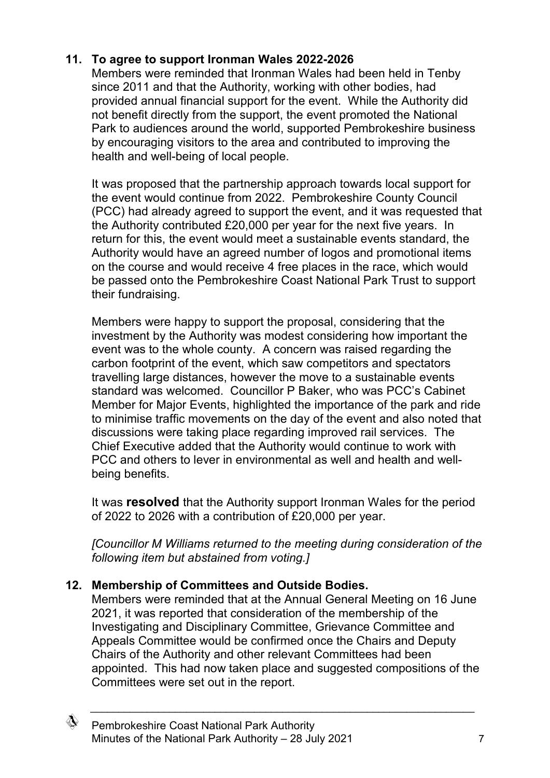## **11. To agree to support Ironman Wales 2022-2026**

Members were reminded that Ironman Wales had been held in Tenby since 2011 and that the Authority, working with other bodies, had provided annual financial support for the event. While the Authority did not benefit directly from the support, the event promoted the National Park to audiences around the world, supported Pembrokeshire business by encouraging visitors to the area and contributed to improving the health and well-being of local people.

It was proposed that the partnership approach towards local support for the event would continue from 2022. Pembrokeshire County Council (PCC) had already agreed to support the event, and it was requested that the Authority contributed £20,000 per year for the next five years. In return for this, the event would meet a sustainable events standard, the Authority would have an agreed number of logos and promotional items on the course and would receive 4 free places in the race, which would be passed onto the Pembrokeshire Coast National Park Trust to support their fundraising.

Members were happy to support the proposal, considering that the investment by the Authority was modest considering how important the event was to the whole county. A concern was raised regarding the carbon footprint of the event, which saw competitors and spectators travelling large distances, however the move to a sustainable events standard was welcomed. Councillor P Baker, who was PCC's Cabinet Member for Major Events, highlighted the importance of the park and ride to minimise traffic movements on the day of the event and also noted that discussions were taking place regarding improved rail services. The Chief Executive added that the Authority would continue to work with PCC and others to lever in environmental as well and health and wellbeing benefits.

It was **resolved** that the Authority support Ironman Wales for the period of 2022 to 2026 with a contribution of £20,000 per year.

*[Councillor M Williams returned to the meeting during consideration of the following item but abstained from voting.]*

### **12. Membership of Committees and Outside Bodies.**

Members were reminded that at the Annual General Meeting on 16 June 2021, it was reported that consideration of the membership of the Investigating and Disciplinary Committee, Grievance Committee and Appeals Committee would be confirmed once the Chairs and Deputy Chairs of the Authority and other relevant Committees had been appointed. This had now taken place and suggested compositions of the Committees were set out in the report.

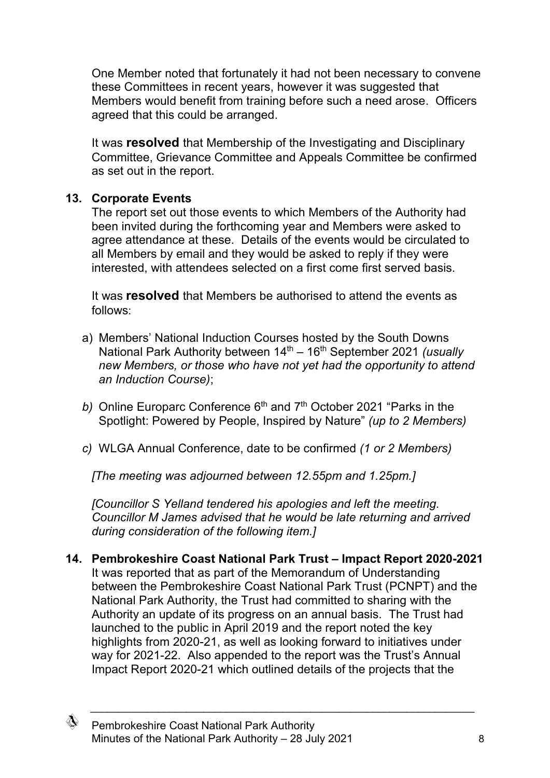One Member noted that fortunately it had not been necessary to convene these Committees in recent years, however it was suggested that Members would benefit from training before such a need arose. Officers agreed that this could be arranged.

It was **resolved** that Membership of the Investigating and Disciplinary Committee, Grievance Committee and Appeals Committee be confirmed as set out in the report.

### **13. Corporate Events**

The report set out those events to which Members of the Authority had been invited during the forthcoming year and Members were asked to agree attendance at these. Details of the events would be circulated to all Members by email and they would be asked to reply if they were interested, with attendees selected on a first come first served basis.

It was **resolved** that Members be authorised to attend the events as follows:

- a) Members' National Induction Courses hosted by the South Downs National Park Authority between 14<sup>th</sup> – 16<sup>th</sup> September 2021 *(usually new Members, or those who have not yet had the opportunity to attend an Induction Course)*;
- b) Online Europarc Conference 6<sup>th</sup> and 7<sup>th</sup> October 2021 "Parks in the Spotlight: Powered by People, Inspired by Nature" *(up to 2 Members)*
- *c)* WLGA Annual Conference, date to be confirmed *(1 or 2 Members)*

*[The meeting was adjourned between 12.55pm and 1.25pm.]*

*[Councillor S Yelland tendered his apologies and left the meeting. Councillor M James advised that he would be late returning and arrived during consideration of the following item.]*

**14. Pembrokeshire Coast National Park Trust – Impact Report 2020-2021** It was reported that as part of the Memorandum of Understanding between the Pembrokeshire Coast National Park Trust (PCNPT) and the National Park Authority, the Trust had committed to sharing with the Authority an update of its progress on an annual basis. The Trust had launched to the public in April 2019 and the report noted the key highlights from 2020-21, as well as looking forward to initiatives under way for 2021-22. Also appended to the report was the Trust's Annual Impact Report 2020-21 which outlined details of the projects that the

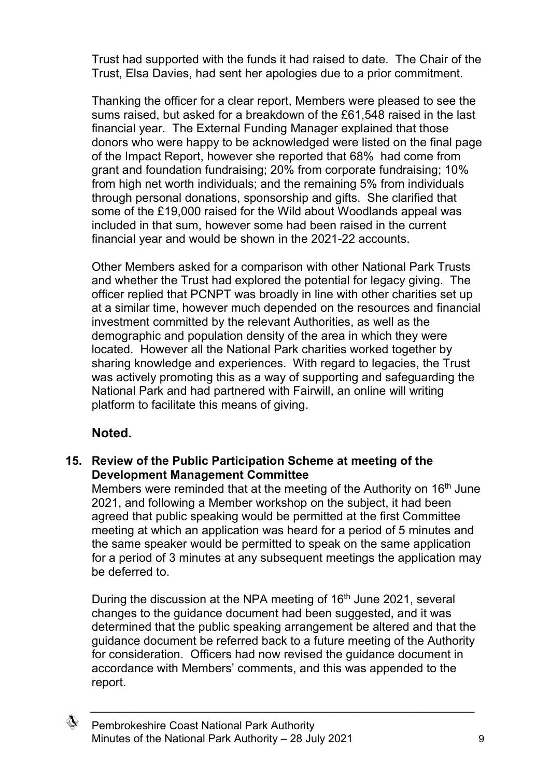Trust had supported with the funds it had raised to date. The Chair of the Trust, Elsa Davies, had sent her apologies due to a prior commitment.

Thanking the officer for a clear report, Members were pleased to see the sums raised, but asked for a breakdown of the £61,548 raised in the last financial year. The External Funding Manager explained that those donors who were happy to be acknowledged were listed on the final page of the Impact Report, however she reported that 68% had come from grant and foundation fundraising; 20% from corporate fundraising; 10% from high net worth individuals; and the remaining 5% from individuals through personal donations, sponsorship and gifts. She clarified that some of the £19,000 raised for the Wild about Woodlands appeal was included in that sum, however some had been raised in the current financial year and would be shown in the 2021-22 accounts.

Other Members asked for a comparison with other National Park Trusts and whether the Trust had explored the potential for legacy giving. The officer replied that PCNPT was broadly in line with other charities set up at a similar time, however much depended on the resources and financial investment committed by the relevant Authorities, as well as the demographic and population density of the area in which they were located. However all the National Park charities worked together by sharing knowledge and experiences. With regard to legacies, the Trust was actively promoting this as a way of supporting and safeguarding the National Park and had partnered with Fairwill, an online will writing platform to facilitate this means of giving.

## **Noted.**

### **15. Review of the Public Participation Scheme at meeting of the Development Management Committee**

Members were reminded that at the meeting of the Authority on 16<sup>th</sup> June 2021, and following a Member workshop on the subject, it had been agreed that public speaking would be permitted at the first Committee meeting at which an application was heard for a period of 5 minutes and the same speaker would be permitted to speak on the same application for a period of 3 minutes at any subsequent meetings the application may be deferred to.

During the discussion at the NPA meeting of 16<sup>th</sup> June 2021, several changes to the guidance document had been suggested, and it was determined that the public speaking arrangement be altered and that the guidance document be referred back to a future meeting of the Authority for consideration. Officers had now revised the guidance document in accordance with Members' comments, and this was appended to the report.